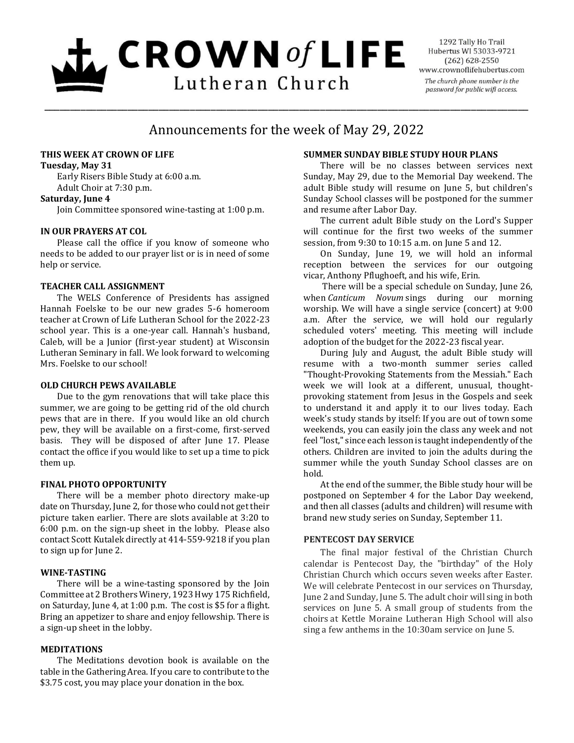# $L$  CROWN of LIFE Lutheran Church

1292 Tally Ho Trail Hubertus WI 53033-9721  $(262) 628 - 2550$ www.crownoflifehubertus.com The church phone number is the password for public wifi access.

# Announcements for the week of May 29, 2022

\_\_\_\_\_\_\_\_\_\_\_\_\_\_\_\_\_\_\_\_\_\_\_\_\_\_\_\_\_\_\_\_\_\_\_\_\_\_\_\_\_\_\_\_\_\_\_\_\_\_\_\_\_\_\_\_\_\_\_\_\_\_\_\_\_\_\_\_\_\_\_\_\_\_\_\_\_\_\_\_\_\_\_\_\_\_\_\_\_\_\_\_\_

# **THIS WEEK AT CROWN OF LIFE**

#### **Tuesday, May 31**

Early Risers Bible Study at 6:00 a.m. Adult Choir at 7:30 p.m.

# **Saturday, June 4**

Join Committee sponsored wine-tasting at 1:00 p.m.

# **IN OUR PRAYERS AT COL**

Please call the office if you know of someone who needs to be added to our prayer list or is in need of some help or service.

# **TEACHER CALL ASSIGNMENT**

The WELS Conference of Presidents has assigned Hannah Foelske to be our new grades 5-6 homeroom teacher at Crown of Life Lutheran School for the 2022-23 school year. This is a one-year call. Hannah's husband, Caleb, will be a Junior (first-year student) at Wisconsin Lutheran Seminary in fall. We look forward to welcoming Mrs. Foelske to our school!

# **OLD CHURCH PEWS AVAILABLE**

Due to the gym renovations that will take place this summer, we are going to be getting rid of the old church pews that are in there. If you would like an old church pew, they will be available on a first-come, first-served basis. They will be disposed of after June 17. Please contact the office if you would like to set up a time to pick them up.

# **FINAL PHOTO OPPORTUNITY**

 There will be a member photo directory make-up date on Thursday, June 2, for those who could not get their picture taken earlier. There are slots available at 3:20 to 6:00 p.m. on the sign-up sheet in the lobby. Please also contact Scott Kutalek directly at 414-559-9218 if you plan to sign up for June 2.

# **WINE-TASTING**

There will be a wine-tasting sponsored by the Join Committee at 2 Brothers Winery, 1923 Hwy 175 Richfield, on Saturday, June 4, at 1:00 p.m. The cost is \$5 for a flight. Bring an appetizer to share and enjoy fellowship. There is a sign-up sheet in the lobby.

# **MEDITATIONS**

The Meditations devotion book is available on the table in the Gathering Area. If you care to contribute to the \$3.75 cost, you may place your donation in the box.

# **SUMMER SUNDAY BIBLE STUDY HOUR PLANS**

There will be no classes between services next Sunday, May 29, due to the Memorial Day weekend. The adult Bible study will resume on June 5, but children's Sunday School classes will be postponed for the summer and resume after Labor Day.

The current adult Bible study on the Lord's Supper will continue for the first two weeks of the summer session, from 9:30 to 10:15 a.m. on June 5 and 12.

On Sunday, June 19, we will hold an informal reception between the services for our outgoing vicar, Anthony Pflughoeft, and his wife, Erin.

There will be a special schedule on Sunday, June 26, when *Canticum Novum* sings during our morning worship. We will have a single service (concert) at 9:00 a.m. After the service, we will hold our regularly scheduled voters' meeting. This meeting will include adoption of the budget for the 2022-23 fiscal year.

During July and August, the adult Bible study will resume with a two-month summer series called "Thought-Provoking Statements from the Messiah." Each week we will look at a different, unusual, thoughtprovoking statement from Jesus in the Gospels and seek to understand it and apply it to our lives today. Each week's study stands by itself: If you are out of town some weekends, you can easily join the class any week and not feel "lost," since each lesson is taught independently of the others. Children are invited to join the adults during the summer while the youth Sunday School classes are on hold.

At the end of the summer, the Bible study hour will be postponed on September 4 for the Labor Day weekend, and then all classes (adults and children) will resume with brand new study series on Sunday, September 11.

# **PENTECOST DAY SERVICE**

The final major festival of the Christian Church calendar is Pentecost Day, the "birthday" of the Holy Christian Church which occurs seven weeks after Easter. We will celebrate Pentecost in our services on Thursday, June 2 and Sunday, June 5. The adult choir will sing in both services on June 5. A small group of students from the choirs at Kettle Moraine Lutheran High School will also sing a few anthems in the 10:30am service on June 5.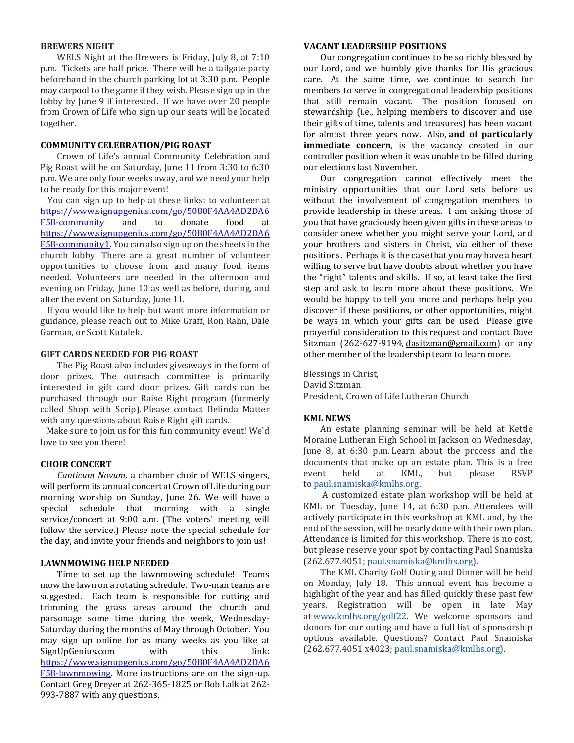#### **BREWERS NIGHT**

WELS Night at the Brewers is Friday, July 8, at 7:10 p.m. Tickets are half price. There will be a tailgate party beforehand in the church parking lot at 3:30 p.m. People may carpool to the game if they wish. Please sign up in the lobby by June 9 if interested. If we have over 20 people from Crown of Life who sign up our seats will be located together.

#### **COMMUNITY CELEBRATION/PIG ROAST**

Crown of Life's annual Community Celebration and Pig Roast will be on Saturday, June 11 from 3:30 to 6:30 p.m. We are only four weeks away, and we need your help to be ready for this major event!

You can sign up to help at these links: to volunteer at [https://www.signupgenius.com/go/5080F4AA4AD2DA6](https://www.signupgenius.com/go/5080F4AA4AD2DA6F58-community) [F58-community](https://www.signupgenius.com/go/5080F4AA4AD2DA6F58-community) and to donate food at [https://www.signupgenius.com/go/5080F4AA4AD2DA6](https://www.signupgenius.com/go/5080F4AA4AD2DA6F58-community1) [F58-community1.](https://www.signupgenius.com/go/5080F4AA4AD2DA6F58-community1) You can also sign up on the sheets in the church lobby. There are a great number of volunteer opportunities to choose from and many food items needed. Volunteers are needed in the afternoon and evening on Friday, June 10 as well as before, during, and after the event on Saturday, June 11.

If you would like to help but want more information or guidance, please reach out to Mike Graff, Ron Rahn, Dale Garman, or Scott Kutalek.

#### **GIFT CARDS NEEDED FOR PIG ROAST**

The Pig Roast also includes giveaways in the form of door prizes. The outreach committee is primarily interested in gift card door prizes. Gift cards can be purchased through our Raise Right program (formerly called Shop with Scrip). Please contact Belinda Matter with any questions about Raise Right gift cards.

Make sure to join us for this fun community event! We'd love to see you there!

#### **CHOIR CONCERT**

*Canticum Novum*, a chamber choir of WELS singers, will perform its annual concert at Crown of Life during our morning worship on Sunday, June 26. We will have a special schedule that morning with a single service/concert at 9:00 a.m. (The voters' meeting will follow the service.) Please note the special schedule for the day, and invite your friends and neighbors to join us!

#### **LAWNMOWING HELP NEEDED**

Time to set up the lawnmowing schedule! Teams mow the lawn on a rotating schedule. Two-man teams are suggested. Each team is responsible for cutting and trimming the grass areas around the church and parsonage some time during the week, Wednesday-Saturday during the months of May through October. You may sign up online for as many weeks as you like at SignUpGenius.com with this link: [https://www.signupgenius.com/go/5080F4AA4AD2DA6](https://www.signupgenius.com/go/5080F4AA4AD2DA6F58-lawnmowing) [F58-lawnmowing.](https://www.signupgenius.com/go/5080F4AA4AD2DA6F58-lawnmowing) More instructions are on the sign-up. Contact Greg Dreyer at 262-365-1825 or Bob Lalk at 262- 993-7887 with any questions.

#### **VACANT LEADERSHIP POSITIONS**

Our congregation continues to be so richly blessed by our Lord, and we humbly give thanks for His gracious care. At the same time, we continue to search for members to serve in congregational leadership positions that still remain vacant. The position focused on stewardship (i.e., helping members to discover and use their gifts of time, talents and treasures) has been vacant for almost three years now. Also, **and of particularly immediate concern**, is the vacancy created in our controller position when it was unable to be filled during our elections last November.

Our congregation cannot effectively meet the ministry opportunities that our Lord sets before us without the involvement of congregation members to provide leadership in these areas. I am asking those of you that have graciously been given gifts in these areas to consider anew whether you might serve your Lord, and your brothers and sisters in Christ, via either of these positions. Perhaps it is the case that you may have a heart willing to serve but have doubts about whether you have the "right" talents and skills. If so, at least take the first step and ask to learn more about these positions. We would be happy to tell you more and perhaps help you discover if these positions, or other opportunities, might be ways in which your gifts can be used. Please give prayerful consideration to this request and contact Dave Sitzman (262-627-9194, [dasitzman@gmail.com\)](mailto:dasitzman@gmail.com) or any other member of the leadership team to learn more.

Blessings in Christ, David Sitzman President, Crown of Life Lutheran Church

#### **KML NEWS**

An estate planning seminar will be held at Kettle Moraine Lutheran High School in Jackson on Wednesday, June 8, at 6:30 p.m. Learn about the process and the documents that make up an estate plan. This is a free event held at KML, but please RSVP to [paul.snamiska@kmlhs.org.](mailto:paul.snamiska@kmlhs.org)

 A customized estate plan workshop will be held at KML on Tuesday, June 14**,** at 6:30 p.m. Attendees will actively participate in this workshop at KML and, by the end of the session, will be nearly done with their own plan. Attendance is limited for this workshop. There is no cost, but please reserve your spot by contacting Paul Snamiska (262.677.4051; [paul.snamiska@kmlhs.org\)](mailto:paul.snamiska@kmlhs.org).

The KML Charity Golf Outing and Dinner will be held on Monday, July 18. This annual event has become a highlight of the year and has filled quickly these past few years. Registration will be open in late May at [www.kmlhs.org/golf22.](http://www.kmlhs.org/golf22) We welcome sponsors and donors for our outing and have a full list of sponsorship options available. Questions? Contact Paul Snamiska (262.677.4051 x4023; [paul.snamiska@kmlhs.org\)](mailto:paul.snamiska@kmlhs.org).